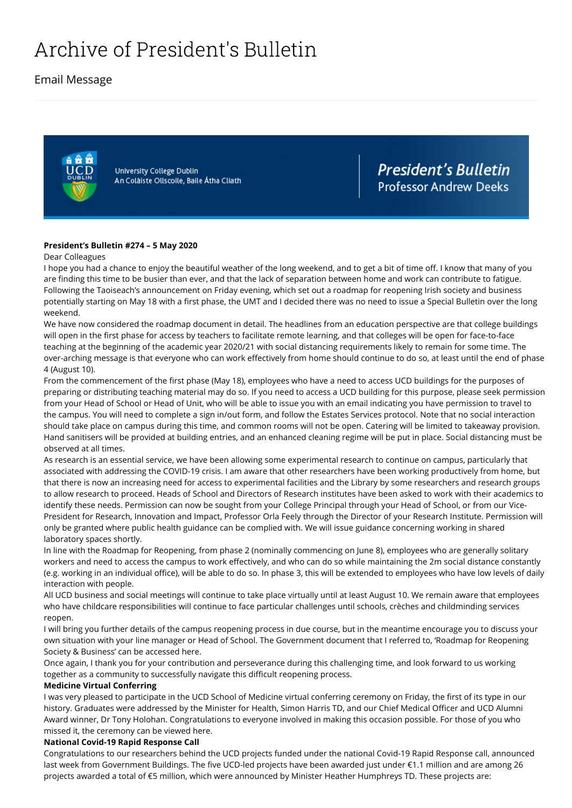# Archive of President's Bulletin

# Email Message



University College Dublin An Coláiste Ollscoile, Baile Átha Cliath **President's Bulletin Professor Andrew Deeks** 

#### **President's Bulletin #274 – 5 May 2020**

#### Dear Colleagues

I hope you had a chance to enjoy the beautiful weather of the long weekend, and to get a bit of time off. I know that many of you are finding this time to be busier than ever, and that the lack of separation between home and work can contribute to fatigue. Following the Taoiseach's announcement on Friday evening, which set out a roadmap for reopening Irish society and business potentially starting on May 18 with a first phase, the UMT and I decided there was no need to issue a Special Bulletin over the long weekend.

We have now considered the roadmap document in detail. The headlines from an education perspective are that college buildings will open in the first phase for access by teachers to facilitate remote learning, and that colleges will be open for face-to-face teaching at the beginning of the academic year 2020/21 with social distancing requirements likely to remain for some time. The over-arching message is that everyone who can work effectively from home should continue to do so, at least until the end of phase 4 (August 10).

From the commencement of the first phase (May 18), employees who have a need to access UCD buildings for the purposes of preparing or distributing teaching material may do so. If you need to access a UCD building for this purpose, please seek permission from your Head of School or Head of Unit, who will be able to issue you with an email indicating you have permission to travel to the campus. You will need to complete a sign [in/out](https://docs.google.com/forms/d/e/1FAIpQLSdALW40cNyU3Vq1-c3qKGbIgTtHe2faIIvoVA4zmw-htNThAA/viewform) form, and follow the Estates Services [protocol.](https://ucdestates.ie/covid19) Note that no social interaction should take place on campus during this time, and common rooms will not be open. Catering will be limited to takeaway provision. Hand sanitisers will be provided at building entries, and an enhanced cleaning regime will be put in place. Social distancing must be observed at all times.

As research is an essential service, we have been allowing some experimental research to continue on campus, particularly that associated with addressing the COVID-19 crisis. I am aware that other researchers have been working productively from home, but that there is now an increasing need for access to experimental facilities and the Library by some researchers and research groups to allow research to proceed. Heads of School and Directors of Research institutes have been asked to work with their academics to identify these needs. Permission can now be sought from your College Principal through your Head of School, or from our Vice-President for Research, Innovation and Impact, Professor Orla Feely through the Director of your Research Institute. Permission will only be granted where public health guidance can be complied with. We will issue guidance concerning working in shared laboratory spaces shortly.

In line with the Roadmap for Reopening, from phase 2 (nominally commencing on June 8), employees who are generally solitary workers and need to access the campus to work effectively, and who can do so while maintaining the 2m social distance constantly (e.g. working in an individual office), will be able to do so. In phase 3, this will be extended to employees who have low levels of daily interaction with people.

All UCD business and social meetings will continue to take place virtually until at least August 10. We remain aware that employees who have childcare responsibilities will continue to face particular challenges until schools, crèches and childminding services reopen.

I will bring you further details of the campus reopening process in due course, but in the meantime encourage you to discuss your own situation with your line manager or Head of School. The Government document that I referred to, 'Roadmap for Reopening Society & Business' can be accessed [here.](https://www.gov.ie/en/news/58bc8b-taoiseach-announces-roadmap-for-reopening-society-and-business-and-u/)

Once again, I thank you for your contribution and perseverance during this challenging time, and look forward to us working together as a community to successfully navigate this difficult reopening process.

#### **Medicine Virtual Conferring**

I was very pleased to participate in the UCD School of Medicine virtual conferring ceremony on Friday, the first of its type in our history. Graduates were addressed by the Minister for Health, Simon Harris TD, and our Chief Medical Officer and UCD Alumni Award winner, Dr Tony Holohan. Congratulations to everyone involved in making this occasion possible. For those of you who missed it, the ceremony can be viewed [here](https://webinarnow.ie/ucd-conferring/).

#### **National Covid-19 Rapid Response Call**

Congratulations to our researchers behind the UCD projects funded under the national Covid-19 Rapid Response call, announced last week from Government Buildings. The five UCD-led projects have been awarded just under €1.1 million and are among 26 projects awarded a total of €5 million, which were announced by Minister Heather Humphreys TD. These projects are: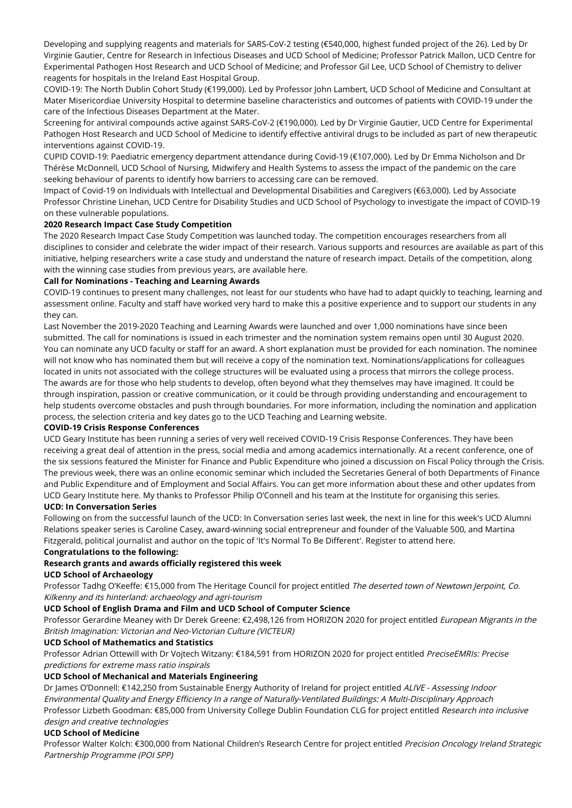Developing and supplying reagents and materials for SARS-CoV-2 testing (€540,000, highest funded project of the 26). Led by Dr Virginie Gautier, Centre for Research in Infectious Diseases and UCD School of Medicine; Professor Patrick Mallon, UCD Centre for Experimental Pathogen Host Research and UCD School of Medicine; and Professor Gil Lee, UCD School of Chemistry to deliver reagents for hospitals in the Ireland East Hospital Group.

COVID-19: The North Dublin Cohort Study (€199,000). Led by Professor John Lambert, UCD School of Medicine and Consultant at Mater Misericordiae University Hospital to determine baseline characteristics and outcomes of patients with COVID-19 under the care of the Infectious Diseases Department at the Mater.

Screening for antiviral compounds active against SARS-CoV-2 (€190,000). Led by Dr Virginie Gautier, UCD Centre for Experimental Pathogen Host Research and UCD School of Medicine to identify effective antiviral drugs to be included as part of new therapeutic interventions against COVID-19.

CUPID COVID-19: Paediatric emergency department attendance during Covid-19 (€107,000). Led by Dr Emma Nicholson and Dr Thérèse McDonnell, UCD School of Nursing, Midwifery and Health Systems to assess the impact of the pandemic on the care seeking behaviour of parents to identify how barriers to accessing care can be removed.

Impact of Covid-19 on Individuals with Intellectual and Developmental Disabilities and Caregivers (€63,000). Led by Associate Professor Christine Linehan, UCD Centre for Disability Studies and UCD School of Psychology to investigate the impact of COVID-19 on these vulnerable populations.

#### **2020 Research Impact Case Study Competition**

The 2020 Research Impact Case Study Competition was launched today. The competition encourages researchers from all disciplines to consider and celebrate the wider impact of their research. Various supports and resources are available as part of this initiative, helping researchers write a case study and understand the nature of research impact. Details of the competition, along with the winning case studies from previous years, are available [here](https://www.ucd.ie/research/portal/ucdimpactcasestudycompetition/overview/).

#### **Call for Nominations - Teaching and Learning Awards**

COVID-19 continues to present many challenges, not least for our students who have had to adapt quickly to teaching, learning and assessment online. Faculty and staff have worked very hard to make this a positive experience and to support our students in any they can.

Last November the 2019-2020 Teaching and Learning Awards were launched and over 1,000 nominations have since been submitted. The call for nominations is issued in each trimester and the nomination system remains open until 30 August 2020. You can [nominate](http://www.ucd.ie/teaching/nominate) any UCD faculty or staff for an award. A short explanation must be provided for each nomination. The nominee will not know who has nominated them but will receive a copy of the nomination text. Nominations/applications for colleagues located in units not associated with the college structures will be evaluated using a process that mirrors the college process. The awards are for those who help students to develop, often beyond what they themselves may have imagined. It could be through inspiration, passion or creative communication, or it could be through providing understanding and encouragement to help students overcome obstacles and push through boundaries. For more information, including the nomination and application process, the selection criteria and key dates go to the UCD [Teaching](http://www.ucd.ie/teaching/awardsgrants/awards/) and Learning website.

#### **COVID-19 Crisis Response Conferences**

UCD Geary Institute has been running a series of very well received COVID-19 Crisis Response Conferences. They have been receiving a great deal of attention in the press, social media and among academics internationally. At a recent conference, one of the six sessions featured the Minister for Finance and Public Expenditure who joined a discussion on Fiscal Policy through the Crisis. The previous week, there was an online economic seminar which included the Secretaries General of both Departments of Finance and Public Expenditure and of Employment and Social Affairs. You can get more information about these and other updates from UCD Geary Institute [here](http://publicpolicy.ie/). My thanks to Professor Philip O'Connell and his team at the Institute for organising this series.

# **UCD: In Conversation Series**

Following on from the successful launch of the UCD: In Conversation series last week, the next in line for this week's UCD Alumni Relations speaker series is Caroline Casey, award-winning social entrepreneur and founder of the Valuable 500, and Martina Fitzgerald, political journalist and author on the topic of 'It's Normal To Be Different'. Register to attend [here](https://zoom.us/w_p/98257147410/add000e0-3598-4148-978e-9df875a77878.jpg).

#### **Congratulations to the following:**

# **Research grants and awards officially registered this week**

## **UCD School of Archaeology**

Professor Tadhg O'Keeffe: €15,000 from The Heritage Council for project entitled The deserted town of Newtown Jerpoint, Co. Kilkenny and its hinterland: archaeology and agri-tourism

#### **UCD School of English Drama and Film and UCD School of Computer Science**

Professor Gerardine Meaney with Dr Derek Greene: €2,498,126 from HORIZON 2020 for project entitled European Migrants in the British Imagination: Victorian and Neo-Victorian Culture (VICTEUR)

#### **UCD School of Mathematics and Statistics**

Professor Adrian Ottewill with Dr Vojtech Witzany: €184,591 from HORIZON 2020 for project entitled PreciseEMRIs: Precise predictions for extreme mass ratio inspirals

#### **UCD School of Mechanical and Materials Engineering**

Dr James O'Donnell: €142,250 from Sustainable Energy Authority of Ireland for project entitled ALIVE - Assessing Indoor Environmental Quality and Energy Efficiency In <sup>a</sup> range of Naturally-Ventilated Buildings: A Multi-Disciplinary Approach Professor Lizbeth Goodman: €85,000 from University College Dublin Foundation CLG for project entitled Research into inclusive design and creative technologies

## **UCD School of Medicine**

Professor Walter Kolch: €300,000 from National Children's Research Centre for project entitled Precision Oncology Ireland Strategic Partnership Programme (POI SPP)